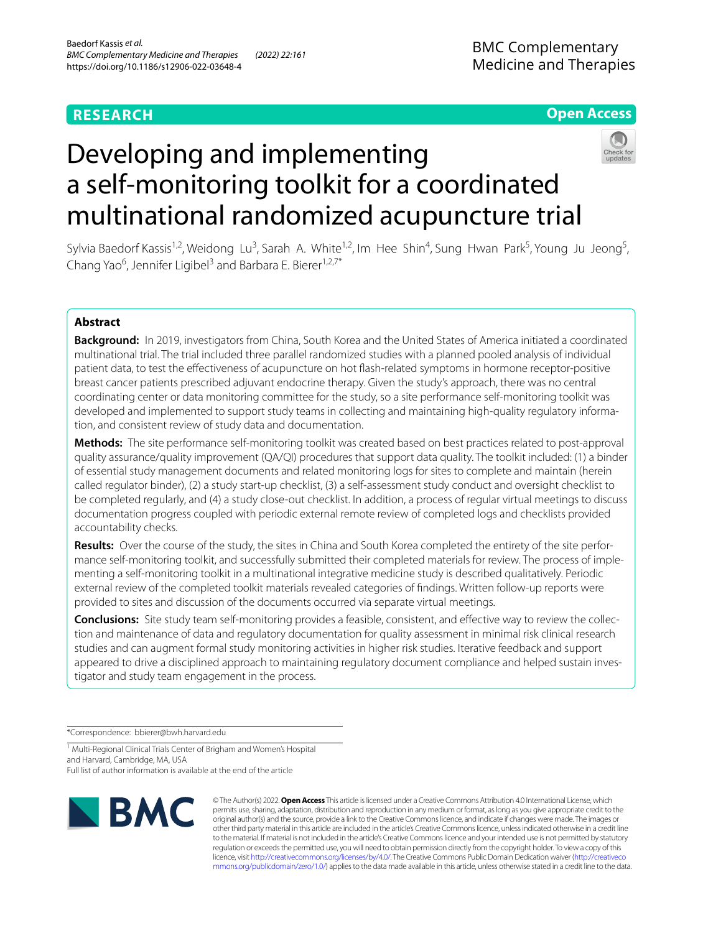# **RESEARCH**

# **Open Access**



# Developing and implementing a self-monitoring toolkit for a coordinated multinational randomized acupuncture trial

Sylvia Baedorf Kassis<sup>1,2</sup>, Weidong Lu<sup>3</sup>, Sarah A. White<sup>1,2</sup>, Im Hee Shin<sup>4</sup>, Sung Hwan Park<sup>5</sup>, Young Ju Jeong<sup>5</sup>, Chang Yao<sup>6</sup>, Jennifer Ligibel<sup>3</sup> and Barbara E. Bierer<sup>1,2,7\*</sup>

# **Abstract**

**Background:** In 2019, investigators from China, South Korea and the United States of America initiated a coordinated multinational trial. The trial included three parallel randomized studies with a planned pooled analysis of individual patient data, to test the efectiveness of acupuncture on hot fash-related symptoms in hormone receptor-positive breast cancer patients prescribed adjuvant endocrine therapy. Given the study's approach, there was no central coordinating center or data monitoring committee for the study, so a site performance self-monitoring toolkit was developed and implemented to support study teams in collecting and maintaining high-quality regulatory information, and consistent review of study data and documentation.

**Methods:** The site performance self-monitoring toolkit was created based on best practices related to post-approval quality assurance/quality improvement (QA/QI) procedures that support data quality. The toolkit included: (1) a binder of essential study management documents and related monitoring logs for sites to complete and maintain (herein called regulator binder), (2) a study start-up checklist, (3) a self-assessment study conduct and oversight checklist to be completed regularly, and (4) a study close-out checklist. In addition, a process of regular virtual meetings to discuss documentation progress coupled with periodic external remote review of completed logs and checklists provided accountability checks.

**Results:** Over the course of the study, the sites in China and South Korea completed the entirety of the site performance self-monitoring toolkit, and successfully submitted their completed materials for review. The process of implementing a self-monitoring toolkit in a multinational integrative medicine study is described qualitatively. Periodic external review of the completed toolkit materials revealed categories of fndings. Written follow-up reports were provided to sites and discussion of the documents occurred via separate virtual meetings.

**Conclusions:** Site study team self-monitoring provides a feasible, consistent, and efective way to review the collection and maintenance of data and regulatory documentation for quality assessment in minimal risk clinical research studies and can augment formal study monitoring activities in higher risk studies. Iterative feedback and support appeared to drive a disciplined approach to maintaining regulatory document compliance and helped sustain investigator and study team engagement in the process.

\*Correspondence: bbierer@bwh.harvard.edu

<sup>1</sup> Multi-Regional Clinical Trials Center of Brigham and Women's Hospital and Harvard, Cambridge, MA, USA Full list of author information is available at the end of the article



© The Author(s) 2022. **Open Access** This article is licensed under a Creative Commons Attribution 4.0 International License, which permits use, sharing, adaptation, distribution and reproduction in any medium or format, as long as you give appropriate credit to the original author(s) and the source, provide a link to the Creative Commons licence, and indicate if changes were made. The images or other third party material in this article are included in the article's Creative Commons licence, unless indicated otherwise in a credit line to the material. If material is not included in the article's Creative Commons licence and your intended use is not permitted by statutory regulation or exceeds the permitted use, you will need to obtain permission directly from the copyright holder. To view a copy of this licence, visit [http://creativecommons.org/licenses/by/4.0/.](http://creativecommons.org/licenses/by/4.0/) The Creative Commons Public Domain Dedication waiver ([http://creativeco](http://creativecommons.org/publicdomain/zero/1.0/) [mmons.org/publicdomain/zero/1.0/](http://creativecommons.org/publicdomain/zero/1.0/)) applies to the data made available in this article, unless otherwise stated in a credit line to the data.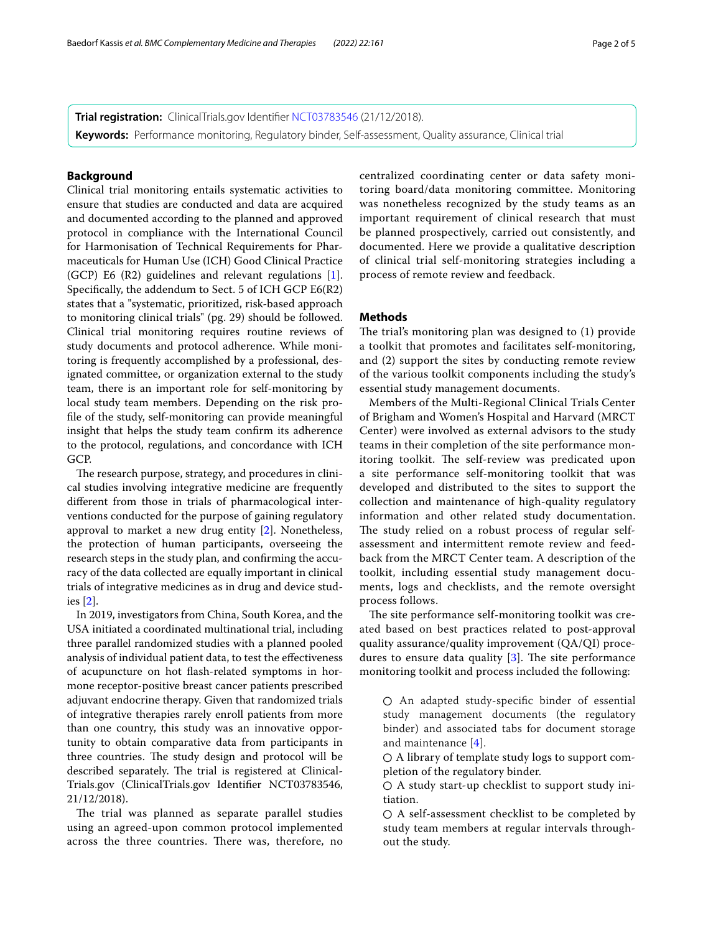**Trial registration:** ClinicalTrials.gov Identifer [NCT03783546](https://clinicaltrials.gov/ct2/show/NCT03783546) (21/12/2018). **Keywords:** Performance monitoring, Regulatory binder, Self-assessment, Quality assurance, Clinical trial

## **Background**

Clinical trial monitoring entails systematic activities to ensure that studies are conducted and data are acquired and documented according to the planned and approved protocol in compliance with the International Council for Harmonisation of Technical Requirements for Pharmaceuticals for Human Use (ICH) Good Clinical Practice (GCP) E6 (R2) guidelines and relevant regulations [\[1](#page-4-0)]. Specifcally, the addendum to Sect. 5 of ICH GCP E6(R2) states that a "systematic, prioritized, risk-based approach to monitoring clinical trials" (pg. 29) should be followed. Clinical trial monitoring requires routine reviews of study documents and protocol adherence. While monitoring is frequently accomplished by a professional, designated committee, or organization external to the study team, there is an important role for self-monitoring by local study team members. Depending on the risk profle of the study, self-monitoring can provide meaningful insight that helps the study team confrm its adherence to the protocol, regulations, and concordance with ICH GCP.

The research purpose, strategy, and procedures in clinical studies involving integrative medicine are frequently diferent from those in trials of pharmacological interventions conducted for the purpose of gaining regulatory approval to market a new drug entity [[2\]](#page-4-1). Nonetheless, the protection of human participants, overseeing the research steps in the study plan, and confrming the accuracy of the data collected are equally important in clinical trials of integrative medicines as in drug and device studies [\[2](#page-4-1)].

In 2019, investigators from China, South Korea, and the USA initiated a coordinated multinational trial, including three parallel randomized studies with a planned pooled analysis of individual patient data, to test the efectiveness of acupuncture on hot fash-related symptoms in hormone receptor-positive breast cancer patients prescribed adjuvant endocrine therapy. Given that randomized trials of integrative therapies rarely enroll patients from more than one country, this study was an innovative opportunity to obtain comparative data from participants in three countries. The study design and protocol will be described separately. The trial is registered at Clinical-Trials.gov (ClinicalTrials.gov Identifer NCT03783546, 21/12/2018).

The trial was planned as separate parallel studies using an agreed-upon common protocol implemented across the three countries. There was, therefore, no centralized coordinating center or data safety monitoring board/data monitoring committee. Monitoring was nonetheless recognized by the study teams as an important requirement of clinical research that must be planned prospectively, carried out consistently, and documented. Here we provide a qualitative description of clinical trial self-monitoring strategies including a process of remote review and feedback.

# **Methods**

The trial's monitoring plan was designed to  $(1)$  provide a toolkit that promotes and facilitates self-monitoring, and (2) support the sites by conducting remote review of the various toolkit components including the study's essential study management documents.

Members of the Multi-Regional Clinical Trials Center of Brigham and Women's Hospital and Harvard (MRCT Center) were involved as external advisors to the study teams in their completion of the site performance monitoring toolkit. The self-review was predicated upon a site performance self-monitoring toolkit that was developed and distributed to the sites to support the collection and maintenance of high-quality regulatory information and other related study documentation. The study relied on a robust process of regular selfassessment and intermittent remote review and feedback from the MRCT Center team. A description of the toolkit, including essential study management documents, logs and checklists, and the remote oversight process follows.

The site performance self-monitoring toolkit was created based on best practices related to post-approval quality assurance/quality improvement (QA/QI) procedures to ensure data quality  $[3]$  $[3]$ . The site performance monitoring toolkit and process included the following:

○ An adapted study-specifc binder of essential study management documents (the regulatory binder) and associated tabs for document storage and maintenance [\[4](#page-4-3)].

 $\bigcirc$  A library of template study logs to support completion of the regulatory binder.

 $\bigcirc$  A study start-up checklist to support study initiation.

 $\bigcirc$  A self-assessment checklist to be completed by study team members at regular intervals throughout the study.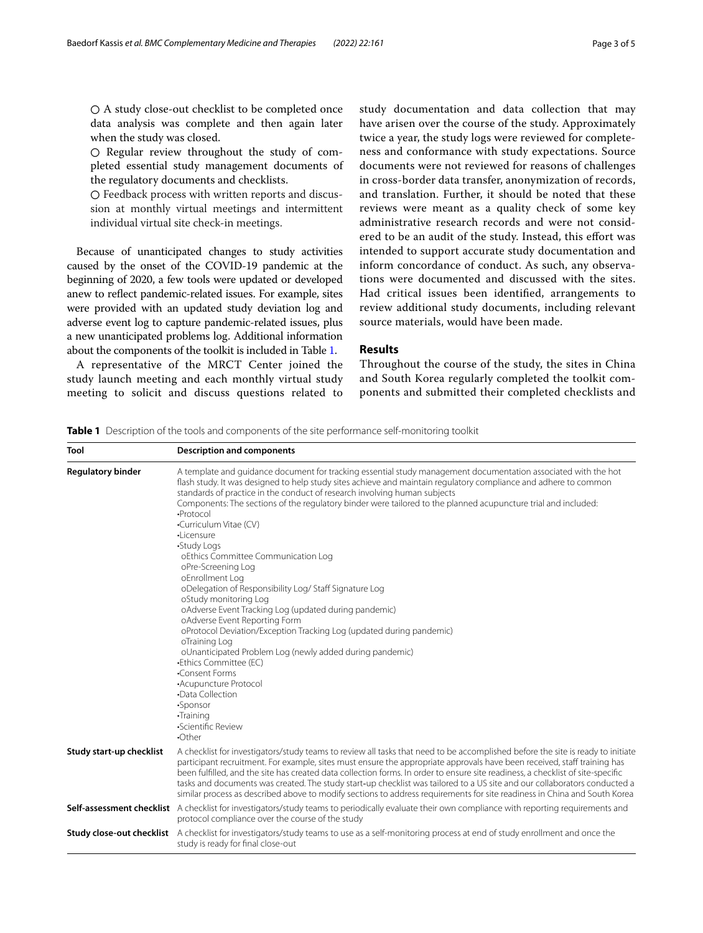○ A study close-out checklist to be completed once data analysis was complete and then again later when the study was closed.

○ Regular review throughout the study of completed essential study management documents of the regulatory documents and checklists.

○ Feedback process with written reports and discussion at monthly virtual meetings and intermittent individual virtual site check-in meetings.

Because of unanticipated changes to study activities caused by the onset of the COVID-19 pandemic at the beginning of 2020, a few tools were updated or developed anew to refect pandemic-related issues. For example, sites were provided with an updated study deviation log and adverse event log to capture pandemic-related issues, plus a new unanticipated problems log. Additional information about the components of the toolkit is included in Table [1.](#page-2-0)

A representative of the MRCT Center joined the study launch meeting and each monthly virtual study meeting to solicit and discuss questions related to study documentation and data collection that may have arisen over the course of the study. Approximately twice a year, the study logs were reviewed for completeness and conformance with study expectations. Source documents were not reviewed for reasons of challenges in cross-border data transfer, anonymization of records, and translation. Further, it should be noted that these reviews were meant as a quality check of some key administrative research records and were not considered to be an audit of the study. Instead, this efort was intended to support accurate study documentation and inform concordance of conduct. As such, any observations were documented and discussed with the sites. Had critical issues been identifed, arrangements to review additional study documents, including relevant source materials, would have been made.

# **Results**

Throughout the course of the study, the sites in China and South Korea regularly completed the toolkit components and submitted their completed checklists and

<span id="page-2-0"></span>**Table 1** Description of the tools and components of the site performance self-monitoring toolkit

| Tool                     | <b>Description and components</b>                                                                                                                                                                                                                                                                                                                                                                                                                                                                                                                                                                                                                                                                                                                                                                                                                                                                                                                                                                                                                                                |  |  |  |  |
|--------------------------|----------------------------------------------------------------------------------------------------------------------------------------------------------------------------------------------------------------------------------------------------------------------------------------------------------------------------------------------------------------------------------------------------------------------------------------------------------------------------------------------------------------------------------------------------------------------------------------------------------------------------------------------------------------------------------------------------------------------------------------------------------------------------------------------------------------------------------------------------------------------------------------------------------------------------------------------------------------------------------------------------------------------------------------------------------------------------------|--|--|--|--|
| <b>Regulatory binder</b> | A template and quidance document for tracking essential study management documentation associated with the hot<br>flash study. It was designed to help study sites achieve and maintain regulatory compliance and adhere to common<br>standards of practice in the conduct of research involving human subjects<br>Components: The sections of the regulatory binder were tailored to the planned acupuncture trial and included:<br>·Protocol<br>•Curriculum Vitae (CV)<br>·Licensure<br>•Study Logs<br>oEthics Committee Communication Log<br>oPre-Screening Log<br>oEnrollment Log<br>oDelegation of Responsibility Log/ Staff Signature Log<br>oStudy monitoring Log<br>oAdverse Event Tracking Log (updated during pandemic)<br>oAdverse Event Reporting Form<br>oProtocol Deviation/Exception Tracking Log (updated during pandemic)<br>oTraining Log<br>oUnanticipated Problem Log (newly added during pandemic)<br>•Ethics Committee (EC)<br>•Consent Forms<br>•Acupuncture Protocol<br>•Data Collection<br>·Sponsor<br>·Training<br>•Scientific Review<br>$\cdot$ Other |  |  |  |  |
| Study start-up checklist | A checklist for investigators/study teams to review all tasks that need to be accomplished before the site is ready to initiate<br>participant recruitment. For example, sites must ensure the appropriate approvals have been received, staff training has<br>been fulfilled, and the site has created data collection forms. In order to ensure site readiness, a checklist of site-specific<br>tasks and documents was created. The study start-up checklist was tailored to a US site and our collaborators conducted a<br>similar process as described above to modify sections to address requirements for site readiness in China and South Korea                                                                                                                                                                                                                                                                                                                                                                                                                         |  |  |  |  |
|                          | Self-assessment checklist A checklist for investigators/study teams to periodically evaluate their own compliance with reporting requirements and<br>protocol compliance over the course of the study                                                                                                                                                                                                                                                                                                                                                                                                                                                                                                                                                                                                                                                                                                                                                                                                                                                                            |  |  |  |  |
|                          | <b>Study close-out checklist</b> A checklist for investigators/study teams to use as a self-monitoring process at end of study enrollment and once the<br>study is ready for final close-out                                                                                                                                                                                                                                                                                                                                                                                                                                                                                                                                                                                                                                                                                                                                                                                                                                                                                     |  |  |  |  |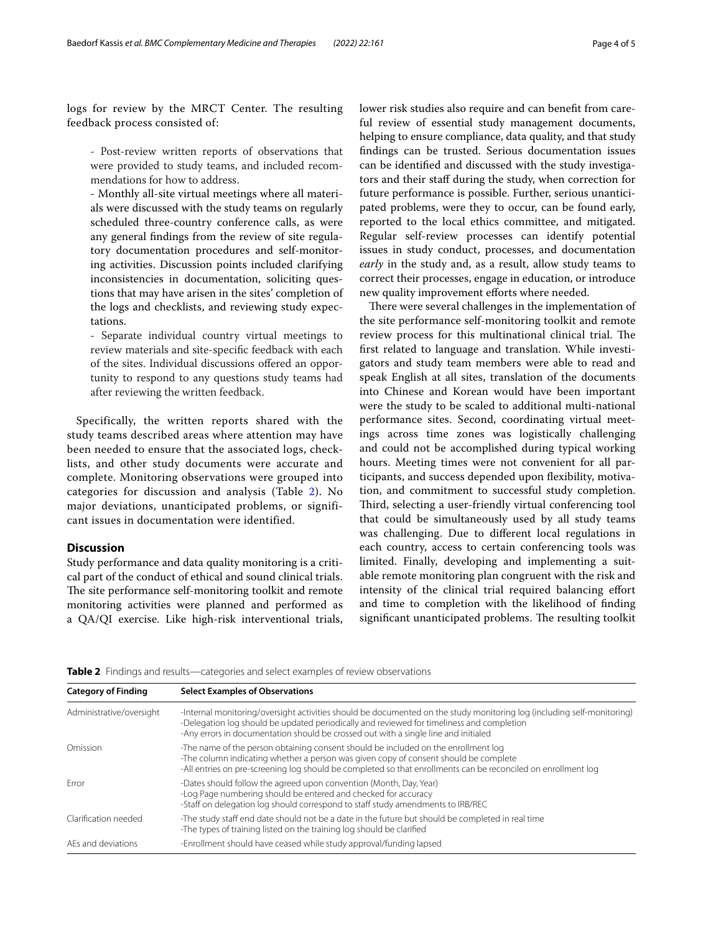logs for review by the MRCT Center. The resulting feedback process consisted of:

- Post-review written reports of observations that were provided to study teams, and included recommendations for how to address.

- Monthly all-site virtual meetings where all materials were discussed with the study teams on regularly scheduled three-country conference calls, as were any general fndings from the review of site regulatory documentation procedures and self-monitoring activities. Discussion points included clarifying inconsistencies in documentation, soliciting questions that may have arisen in the sites' completion of the logs and checklists, and reviewing study expectations.

- Separate individual country virtual meetings to review materials and site-specifc feedback with each of the sites. Individual discussions ofered an opportunity to respond to any questions study teams had after reviewing the written feedback.

Specifically, the written reports shared with the study teams described areas where attention may have been needed to ensure that the associated logs, checklists, and other study documents were accurate and complete. Monitoring observations were grouped into categories for discussion and analysis (Table [2](#page-3-0)). No major deviations, unanticipated problems, or significant issues in documentation were identified.

## **Discussion**

Study performance and data quality monitoring is a critical part of the conduct of ethical and sound clinical trials. The site performance self-monitoring toolkit and remote monitoring activities were planned and performed as a QA/QI exercise. Like high-risk interventional trials,

**Category of Finding Select Examples of Observations**

lower risk studies also require and can beneft from careful review of essential study management documents, helping to ensure compliance, data quality, and that study fndings can be trusted. Serious documentation issues can be identifed and discussed with the study investigators and their staf during the study, when correction for future performance is possible. Further, serious unanticipated problems, were they to occur, can be found early, reported to the local ethics committee, and mitigated. Regular self-review processes can identify potential issues in study conduct, processes, and documentation *early* in the study and, as a result, allow study teams to correct their processes, engage in education, or introduce new quality improvement efforts where needed.

There were several challenges in the implementation of the site performance self-monitoring toolkit and remote review process for this multinational clinical trial. The frst related to language and translation. While investigators and study team members were able to read and speak English at all sites, translation of the documents into Chinese and Korean would have been important were the study to be scaled to additional multi-national performance sites. Second, coordinating virtual meetings across time zones was logistically challenging and could not be accomplished during typical working hours. Meeting times were not convenient for all participants, and success depended upon fexibility, motivation, and commitment to successful study completion. Third, selecting a user-friendly virtual conferencing tool that could be simultaneously used by all study teams was challenging. Due to diferent local regulations in each country, access to certain conferencing tools was limited. Finally, developing and implementing a suitable remote monitoring plan congruent with the risk and intensity of the clinical trial required balancing effort and time to completion with the likelihood of fnding significant unanticipated problems. The resulting toolkit

<span id="page-3-0"></span>

| <b>Table 2</b> Findings and results—categories and select examples of review observations |  |  |  |  |
|-------------------------------------------------------------------------------------------|--|--|--|--|
|                                                                                           |  |  |  |  |

| Administrative/oversight | -Internal monitoring/oversight activities should be documented on the study monitoring log (including self-monitoring)<br>-Delegation log should be updated periodically and reviewed for timeliness and completion<br>-Any errors in documentation should be crossed out with a single line and initialed |  |  |  |
|--------------------------|------------------------------------------------------------------------------------------------------------------------------------------------------------------------------------------------------------------------------------------------------------------------------------------------------------|--|--|--|
| Omission                 | -The name of the person obtaining consent should be included on the enrollment log<br>-The column indicating whether a person was given copy of consent should be complete<br>-All entries on pre-screening log should be completed so that enrollments can be reconciled on enrollment log                |  |  |  |
| Frror                    | -Dates should follow the agreed upon convention (Month, Day, Year)<br>-Log Page numbering should be entered and checked for accuracy<br>-Staff on delegation log should correspond to staff study amendments to IRB/REC                                                                                    |  |  |  |
| Clarification needed     | -The study staff end date should not be a date in the future but should be completed in real time<br>-The types of training listed on the training log should be clarified                                                                                                                                 |  |  |  |
| AEs and deviations       | -Enrollment should have ceased while study approval/funding lapsed                                                                                                                                                                                                                                         |  |  |  |